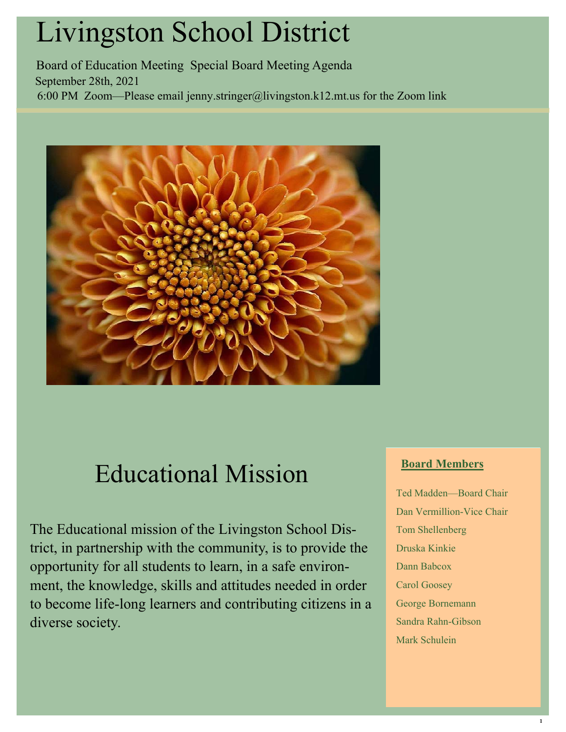# Livingston School District

Board of Education Meeting Special Board Meeting Agenda September 28th, 2021 6:00 PM Zoom—Please email jenny.stringer@livingston.k12.mt.us for the Zoom link



# Educational Mission

The Educational mission of the Livingston School District, in partnership with the community, is to provide the opportunity for all students to learn, in a safe environment, the knowledge, skills and attitudes needed in order to become life-long learners and contributing citizens in a diverse society.

## **Board Members**

Ted Madden—Board Chair Dan Vermillion-Vice Chair Tom Shellenberg Druska Kinkie Dann Babcox Carol Goosey George Bornemann Sandra Rahn-Gibson Mark Schulein

1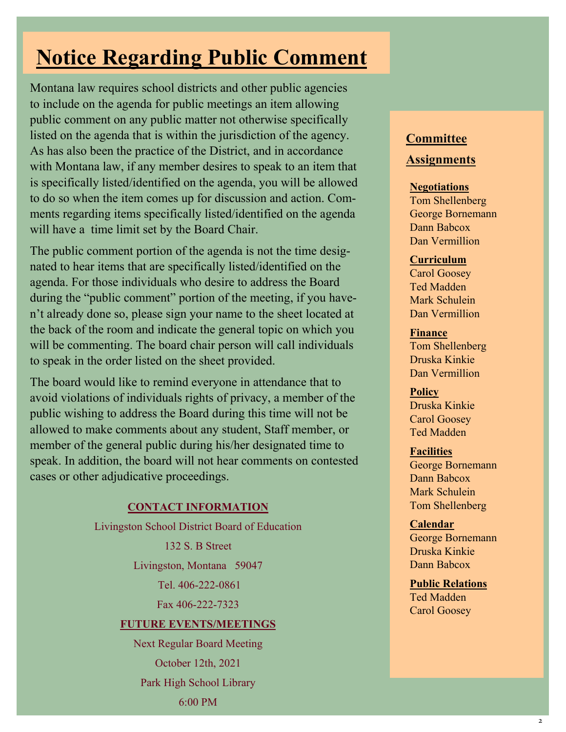# **Notice Regarding Public Comment**

Montana law requires school districts and other public agencies to include on the agenda for public meetings an item allowing public comment on any public matter not otherwise specifically listed on the agenda that is within the jurisdiction of the agency. As has also been the practice of the District, and in accordance with Montana law, if any member desires to speak to an item that is specifically listed/identified on the agenda, you will be allowed to do so when the item comes up for discussion and action. Comments regarding items specifically listed/identified on the agenda will have a time limit set by the Board Chair.

The public comment portion of the agenda is not the time designated to hear items that are specifically listed/identified on the agenda. For those individuals who desire to address the Board during the "public comment" portion of the meeting, if you haven't already done so, please sign your name to the sheet located at the back of the room and indicate the general topic on which you will be commenting. The board chair person will call individuals to speak in the order listed on the sheet provided.

The board would like to remind everyone in attendance that to avoid violations of individuals rights of privacy, a member of the public wishing to address the Board during this time will not be allowed to make comments about any student, Staff member, or member of the general public during his/her designated time to speak. In addition, the board will not hear comments on contested cases or other adjudicative proceedings.

#### **CONTACT INFORMATION**

Livingston School District Board of Education

132 S. B Street

Livingston, Montana 59047

Tel. 406-222-0861

Fax 406-222-7323

#### **FUTURE EVENTS/MEETINGS**

Next Regular Board Meeting October 12th, 2021 Park High School Library 6:00 PM

## **Committee**

### **Assignments**

#### **Negotiations**

Tom Shellenberg George Bornemann Dann Babcox Dan Vermillion

#### **Curriculum**

Carol Goosey Ted Madden Mark Schulein Dan Vermillion

#### **Finance**

Tom Shellenberg Druska Kinkie Dan Vermillion

**Policy** Druska Kinkie

Carol Goosey Ted Madden

#### **Facilities**

George Bornemann Dann Babcox Mark Schulein Tom Shellenberg

#### **Calendar**

George Bornemann Druska Kinkie Dann Babcox

**Public Relations**  Ted Madden Carol Goosey